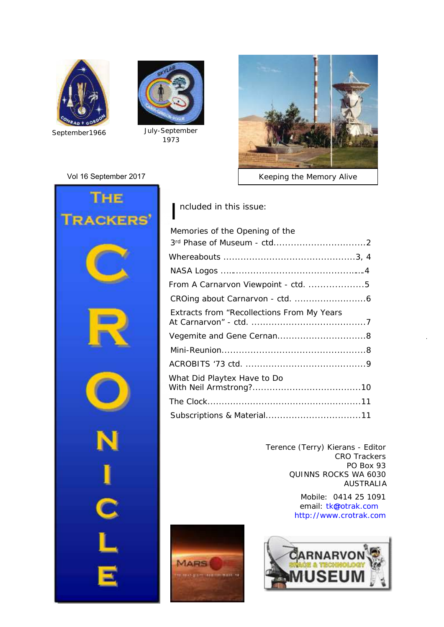



*September1966 July-September 1973*

#### Vol 16 September 2017



*Keeping the Memory Alive*



I ncluded in this issue:

| Memories of the Opening of the             |  |
|--------------------------------------------|--|
|                                            |  |
|                                            |  |
|                                            |  |
| From A Carnarvon Viewpoint - ctd. 5        |  |
|                                            |  |
| Extracts from "Recollections From My Years |  |
|                                            |  |
|                                            |  |
|                                            |  |
| What Did Playtex Have to Do                |  |
|                                            |  |
|                                            |  |
|                                            |  |

Terence (Terry) Kierans - Editor CRO Trackers PO Box 93 QUINNS ROCKS WA 6030 AUSTRALIA

> Mobile: 0414 25 1091 email: tk@otrak.com <http://www.crotrak.com>



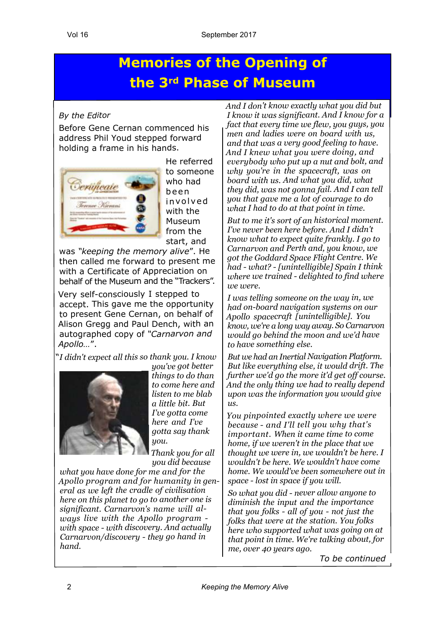## **Memories of the Opening of the 3rd Phase of Museum**

#### *By the Editor*

Before Gene Cernan commenced his address Phil Youd stepped forward holding a frame in his hands.



He referred to someone who had b <sup>e</sup> <sup>e</sup> <sup>n</sup> in v o l v e d with the Museum from the start, and

was *"keeping the memory alive*". He then called me forward to present me with a Certificate of Appreciation on behalf of the Museum and the "Trackers".

Very self-consciously I stepped to accept. This gave me the opportunity to present Gene Cernan, on behalf of Alison Gregg and Paul Dench, with an autographed copy of *"Carnarvon and Apollo…*".

"*I didn't expect all this so thank you. I know*



*you've got better things to do than to come here and listen to me blab a little bit. But I've gotta come here and I've gotta say thank you.*

*Thank you for all you did because*

*what you have done for me and for the Apollo program and for humanity in general as we left the cradle of civilisation here on this planet to go to another one is significant. Carnarvon's name will always live with the Apollo program with space - with discovery. And actually Carnarvon/discovery - they go hand in hand.*

*And I don't know exactly what you did but I know it was significant. And I know for a fact that every time we flew, you guys, you men and ladies were on board with us, and that was a very good feeling to have. And I knew what you were doing, and everybody who put up a nut and bolt, and why you're in the spacecraft, was on board with us. And what you did, what they did, was not gonna fail. And I can tell you that gave me a lot of courage to do what I had to do at that point in time.*

*But to me it's sort of an historical moment. I've never been here before. And I didn't know what to expect quite frankly. I go to Carnarvon and Perth and, you know, we got the Goddard Space Flight Centre. We had - what? - [unintelligible] Spain I think where we trained - delighted to find where we were.*

*I was telling someone on the way in, we had on-board navigation systems on our Apollo spacecraft [unintelligible]. You know, we're a long way away. So Carnarvon would go behind the moon and we'd have to have something else.*

*But we had an Inertial Navigation Platform. But like everything else, it would drift. The further we'd go the more it'd get off course. And the only thing we had to really depend upon was the information you would give us.*

*You pinpointed exactly where we were because - and I'll tell you why that's important. When it came time to come home, if we weren't in the place that we thought we were in, we wouldn't be here. I wouldn't be here. We wouldn't have come home. We would've been somewhere out in space - lost in space if you will.*

*So what you did - never allow anyone to diminish the input and the importance that you folks - all of you - not just the folks that were at the station. You folks here who supported what was going on at that point in time. We're talking about, for me, over 40 years ago.*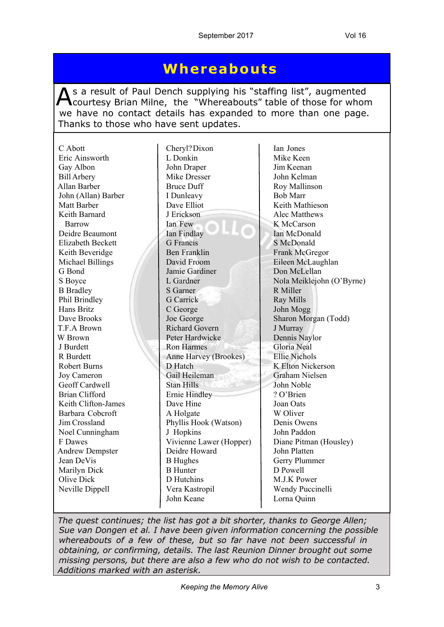## **Whereabouts**

As a result of Paul Dench supplying his "staffing list", augmented<br>Courtesy Brian Milne, the "Whereabouts" table of those for whom s a result of Paul Dench supplying his "staffing list", augmented we have no contact details has expanded to more than one page. Thanks to those who have sent updates.

| C Abott                  | Cheryl? Dixon           | Ian Jones                 |
|--------------------------|-------------------------|---------------------------|
| Eric Ainsworth           | L Donkin                | Mike Keen                 |
| Gay Albon                | John Draper             | Jim Keenan                |
| <b>Bill Arbery</b>       | Mike Dresser            | John Kelman               |
| Allan Barber             | <b>Bruce Duff</b>       | Roy Mallinson             |
| John (Allan) Barber      | I Dunleavy              | <b>Bob Marr</b>           |
| Matt Barber              | Dave Elliot             | Keith Mathieson           |
| Keith Barnard            | J Erickson              | Alec Matthews             |
| Barrow                   | Ian Few                 | K McCarson                |
| Deidre Beaumont          | Ian Findlay             | Ian McDonald              |
| <b>Elizabeth Beckett</b> | <b>G</b> Francis        | S McDonald                |
| Keith Beveridge          | <b>Ben Franklin</b>     | Frank McGregor            |
| Michael Billings         | David Froom             | Eileen McLaughlan         |
| G Bond                   | Jamie Gardiner          | Don McLellan              |
| S Boyce                  | L Gardner               | Nola Meiklejohn (O'Byrne) |
| <b>B</b> Bradley         | S Garner                | R Miller                  |
| Phil Brindley            | <b>G</b> Carrick        | <b>Ray Mills</b>          |
| Hans Britz               | C George                | John Mogg                 |
| Dave Brooks              | Joe George              | Sharon Morgan (Todd)      |
| T.F.A Brown              | <b>Richard Govern</b>   | J Murray                  |
| W Brown                  | Peter Hardwicke         | Dennis Naylor             |
| J Burdett                | <b>Ron Harmes</b>       | Gloria Neal               |
| R Burdett                | Anne Harvey (Brookes)   | <b>Ellie Nichols</b>      |
| <b>Robert Burns</b>      | D Hatch                 | K Elton Nickerson         |
| Joy Cameron              | Gail Heileman           | <b>Graham Nielsen</b>     |
| Geoff Cardwell           | <b>Stan Hills</b>       | John Noble                |
| <b>Brian Clifford</b>    | <b>Ernie Hindley</b>    | ? O'Brien                 |
| Keith Clifton-James      | Dave Hine               | Joan Oats                 |
| Barbara Cobcroft         | A Holgate               | W Oliver                  |
| Jim Crossland            | Phyllis Hook (Watson)   | Denis Owens               |
| Noel Cunningham          | J Hopkins               | John Paddon               |
| F Dawes                  | Vivienne Lawer (Hopper) | Diane Pitman (Housley)    |
| <b>Andrew Dempster</b>   | Deidre Howard           | John Platten              |
| Jean DeVis               | <b>B</b> Hughes         | Gerry Plummer             |
| Marilyn Dick             | <b>B</b> Hunter         | D Powell                  |
| Olive Dick               | D Hutchins              | M.J.K Power               |
| Neville Dippell          | Vera Kastropil          | Wendy Puccinelli          |
|                          | John Keane              | Lorna Quinn               |
|                          |                         |                           |

*The quest continues; the list has got a bit shorter, thanks to George Allen; Sue van Dongen et al. I have been given information concerning the possible whereabouts of a few of these, but so far have not been successful in obtaining, or confirming, details. The last Reunion Dinner brought out some missing persons, but there are also a few who do not wish to be contacted. Additions marked with an asterisk.*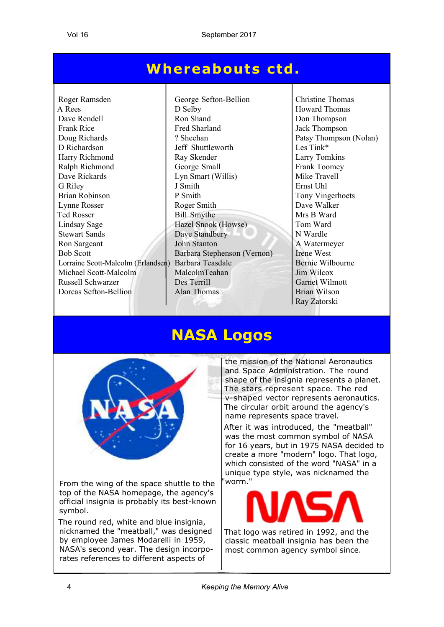## **Whereabouts ctd .**

Roger Ramsden George Sefton-Bellion Christine Thomas A Rees<br>Dave Rendell **D** Selby **Howard Thomas**<br>Dave Rendell Ron Shand Don Thompson Dave Rendell Ron Shand Don Thompson<br>Frank Rice Fred Sharland Jack Thompson Frank Rice Fred Sharland Jack Thompson<br>
Patsy Thompson<br>
Patsy Thompson<br>
Patsy Thompson Doug Richards 2. Sheehan Patsy Thompson (Nolan) D Richardson Jeff Shuttleworth Les Tink\* Harry Richmond Ray Skender Ralph Richmond Ray Skender Larry Tomkins Ralph Richmond George Small Ralph Richmond George Small Frank Toome<br>Dave Rickards Lyn Smart (Willis) Mike Travell Dave Rickards Lyn Smart (Willis) G Riley J Smith J Smith Ernst Uhl Brian Robinson P Smith P Smith Tony Vingerhoets Lynne Rosser Roger Smith Bave Walker Ted Rosser Bill Smythe Mrs B Ward Lindsay Sage Hazel Snook (Howse) Tom Ward Stewart Sands Dave Standbury N Wardle Ron Sargeant John Stanton A Watermeyer Bob Scott Barbara Stephenson (Vernon) Irene West Lorraine Scott-Malcolm (Erlandsen) Barbara Teasdale Bernie Wilbourne Michael Scott-Malcolm MalcolmTeahan Jim Wilcox<br>Russell Schwarzer Des Terrill Garnet Wilr Russell Schwarzer Des Terrill Garnet Wilmott **Dorcas Sefton-Bellion** Alan Thomas Brian Wilson

Ray Zatorski

## **NASA Logos**



From the wing of the space shuttle to the top of the NASA homepage, the agency's official insignia is probably its best-known symbol.

The round red, white and blue insignia, nicknamed the "meatball," was designed by employee James Modarelli in 1959, NASA's second year. The design incorporates references to different aspects of

the mission of the National Aeronautics and Space Administration. The round shape of the insignia represents a planet. The stars represent space. The red v-shaped vector represents aeronautics. The circular orbit around the agency's name represents space travel.

After it was introduced, the "meatball" was the most common symbol of NASA for 16 years, but in 1975 NASA decided to create a more "modern" logo. That logo, which consisted of the word "NASA" in a unique type style, was nicknamed the "worm."



That logo was retired in 1992, and the classic meatball insignia has been the most common agency symbol since.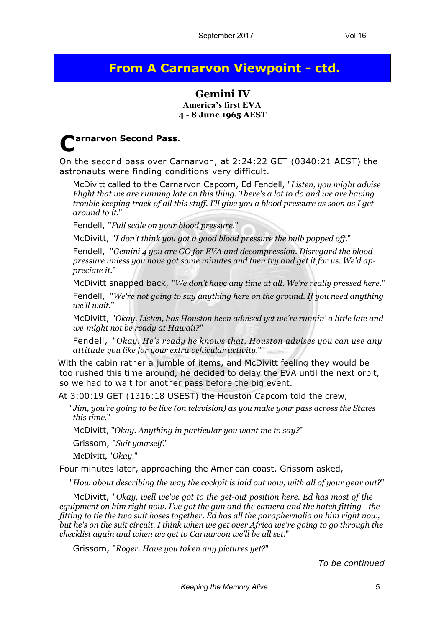### **From A Carnarvon Viewpoint - ctd.**

#### **Gemini IV America's first EVA 4 - 8 June 1965 AEST**

#### **C arnarvon Second Pass.**

On the second pass over Carnarvon, at 2:24:22 GET (0340:21 AEST) the astronauts were finding conditions very difficult.

McDivitt called to the Carnarvon Capcom, Ed Fendell, "*Listen, you might advise Flight that we are running late on this thing. There's a lot to do and we are having trouble keeping track of all this stuff. I'll give you a blood pressure as soon as I get around to it.*"

Fendell, "*Full scale on your blood pressure.*"

McDivitt, "*I don't think you got a good blood pressure the bulb popped off.*"

Fendell, "*Gemini 4 you are GO for EVA and decompression. Disregard the blood pressure unless you have got some minutes and then try and get it for us. We'd appreciate it.*"

McDivitt snapped back, "*We don't have any time at all. We're really pressed here.*"

Fendell, "*We're not going to say anything here on the ground. If you need anything we'll wait.*"

McDivitt, "*Okay. Listen, has Houston been advised yet we're runnin' a little late and we might not be ready at Hawaii?"*

Fendell, "*Okay. He's ready he knows that. Houston advises you can use any attitude you like for your extra vehicular activity.*"

With the cabin rather a jumble of items, and McDivitt feeling they would be too rushed this time around, he decided to delay the EVA until the next orbit, so we had to wait for another pass before the big event.

At 3:00:19 GET (1316:18 USEST) the Houston Capcom told the crew,

"*Jim, you're going to be live (on television) as you make your pass across the States this time.*"

McDivitt, "*Okay. Anything in particular you want me to say?*"

Grissom, "*Suit yourself.*"

McDivitt, "*Okay.*"

Four minutes later, approaching the American coast, Grissom asked,

"*How about describing the way the cockpit is laid out now, with all of your gear out?*"

McDivitt, "*Okay, well we've got to the get-out position here. Ed has most of the equipment on him right now. I've got the gun and the camera and the hatch fitting - the fitting to tie the two suit hoses together. Ed has all the paraphernalia on him right now, but he's on the suit circuit. I think when we get over Africa we're going to go through the checklist again and when we get to Carnarvon we'll be all set.*"

Grissom, "*Roger. Have you taken any pictures yet?*"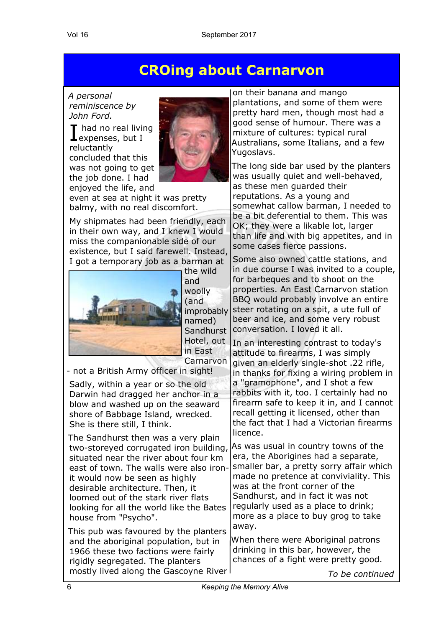### **CROing about Carnarvon**

*A personal reminiscence by John Ford.*

I had no real livi<br>
expenses, but I **had no real living** reluctantly concluded that this was not going to get the job done. I had enjoyed the life, and



even at sea at night it was pretty balmy, with no real discomfort.

My shipmates had been friendly, each in their own way, and I knew I would miss the companionable side of our existence, but I said farewell. Instead, I got a temporary job as a barman at



the wild and woolly (and named) **Sandhurst** Hotel, out in East Carnarvon

- not a British Army officer in sight!

Sadly, within a year or so the old Darwin had dragged her anchor in a blow and washed up on the seaward shore of Babbage Island, wrecked. She is there still, I think.

The Sandhurst then was a very plain two-storeyed corrugated iron building, situated near the river about four km east of town. The walls were also ironit would now be seen as highly desirable architecture. Then, it loomed out of the stark river flats looking for all the world like the Bates house from "Psycho".

This pub was favoured by the planters and the aboriginal population, but in 1966 these two factions were fairly rigidly segregated. The planters mostly lived along the Gascoyne River

on their banana and mango plantations, and some of them were pretty hard men, though most had a good sense of humour. There was a mixture of cultures: typical rural Australians, some Italians, and a few Yugoslavs.

The long side bar used by the planters was usually quiet and well-behaved, as these men guarded their reputations. As a young and somewhat callow barman, I needed to be a bit deferential to them. This was OK; they were a likable lot, larger than life and with big appetites, and in some cases fierce passions.

improbably steer rotating on a spit, a ute full of Some also owned cattle stations, and in due course I was invited to a couple, for barbeques and to shoot on the properties. An East Carnarvon station BBQ would probably involve an entire beer and ice, and some very robust conversation. I loved it all.

> In an interesting contrast to today's attitude to firearms, I was simply given an elderly single-shot .22 rifle, in thanks for fixing a wiring problem in a "gramophone", and I shot a few rabbits with it, too. I certainly had no firearm safe to keep it in, and I cannot recall getting it licensed, other than the fact that I had a Victorian firearms licence.

> As was usual in country towns of the era, the Aborigines had a separate, smaller bar, a pretty sorry affair which made no pretence at conviviality. This was at the front corner of the Sandhurst, and in fact it was not regularly used as a place to drink; more as a place to buy grog to take away.

When there were Aboriginal patrons drinking in this bar, however, the chances of a fight were pretty good.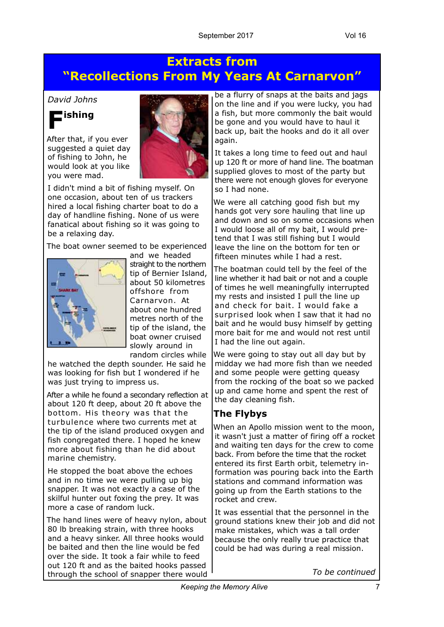### **Extracts from "Recollections From My Years At Carnarvon"**

#### *David Johns*



After that, if you ever suggested a quiet day of fishing to John, he would look at you like you were mad.



I didn't mind a bit of fishing myself. On one occasion, about ten of us trackers hired a local fishing charter boat to do a day of handline fishing. None of us were fanatical about fishing so it was going to be a relaxing day.

The boat owner seemed to be experienced



and we headed straight to the northern tip of Bernier Island, about 50 kilometres offshore from Carnarvon. At about one hundred metres north of the tip of the island, the boat owner cruised slowly around in random circles while

he watched the depth sounder. He said he was looking for fish but I wondered if he was just trying to impress us.

After a while he found a secondary reflection at about 120 ft deep, about 20 ft above the bottom. His theory was that the turbulence where two currents met at the tip of the island produced oxygen and fish congregated there. I hoped he knew more about fishing than he did about marine chemistry.

He stopped the boat above the echoes and in no time we were pulling up big snapper. It was not exactly a case of the skilful hunter out foxing the prey. It was more a case of random luck.

The hand lines were of heavy nylon, about 80 lb breaking strain, with three hooks and a heavy sinker. All three hooks would be baited and then the line would be fed over the side. It took a fair while to feed out 120 ft and as the baited hooks passed through the school of snapper there would be a flurry of snaps at the baits and jags on the line and if you were lucky, you had a fish, but more commonly the bait would be gone and you would have to haul it back up, bait the hooks and do it all over again.

It takes a long time to feed out and haul up 120 ft or more of hand line. The boatman supplied gloves to most of the party but there were not enough gloves for everyone so I had none.

We were all catching good fish but my hands got very sore hauling that line up and down and so on some occasions when I would loose all of my bait, I would pretend that I was still fishing but I would leave the line on the bottom for ten or fifteen minutes while I had a rest.

The boatman could tell by the feel of the line whether it had bait or not and a couple of times he well meaningfully interrupted my rests and insisted I pull the line up and check for bait. I would fake a surprised look when I saw that it had no bait and he would busy himself by getting more bait for me and would not rest until I had the line out again.

We were going to stay out all day but by midday we had more fish than we needed and some people were getting queasy from the rocking of the boat so we packed up and came home and spent the rest of the day cleaning fish.

#### **The Flybys**

When an Apollo mission went to the moon, it wasn't just a matter of firing off a rocket and waiting ten days for the crew to come back. From before the time that the rocket entered its first Earth orbit, telemetry information was pouring back into the Earth stations and command information was going up from the Earth stations to the rocket and crew.

It was essential that the personnel in the ground stations knew their job and did not make mistakes, which was a tall order because the only really true practice that could be had was during a real mission.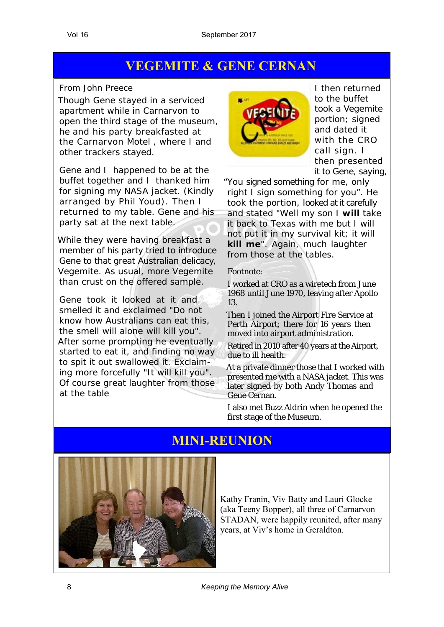### **VEGEMITE & GENE CERNAN**

#### *From John Preece*

Though Gene stayed in a serviced apartment while in Carnarvon to open the third stage of the museum, he and his party breakfasted at the Carnarvon Motel , where I and other trackers stayed.

Gene and I happened to be at the buffet together and I thanked him for signing my NASA jacket. (Kindly arranged by Phil Youd). Then I returned to my table. Gene and his party sat at the next table.

While they were having breakfast a member of his party tried to introduce Gene to that great Australian delicacy, Vegemite. As usual, more Vegemite than crust on the offered sample.

Gene took it looked at it and smelled it and exclaimed "*Do not know how Australians can eat this, the smell will alone will kill you*". After some prompting he eventually started to eat it, and finding no way to spit it out swallowed it. Exclaiming more forcefully "*It will kill you*". Of course great laughter from those at the table



I then returned to the buffet took a Vegemite portion; signed and dated it with the CRO call sign. I then presented it to Gene, saying,

"*You signed something for me, only right I sign something for you*". He took the portion, looked at it carefully and stated "*Well my son I will take it back to Texas with me but I will not put it in my survival kit; it will kill me*". Again, much laughter from those at the tables.

#### *Footnote:*

I worked at CRO as a wiretech from June 1968 until June 1970, leaving after Apollo 13.

Then I joined the Airport Fire Service at Perth Airport; there for 16 years then moved into airport administration.

Retired in 2010 after 40 years at the Airport, due to ill health.

At a private dinner those that I worked with presented me with a NASA jacket. This was later signed by both Andy Thomas and Gene Cernan.

I also met Buzz Aldrin when he opened the first stage of the Museum.

### **MINI-REUNION**



Kathy Franin, Viv Batty and Lauri Glocke (aka Teeny Bopper), all three of Carnarvon STADAN, were happily reunited, after many years, at Viv's home in Geraldton.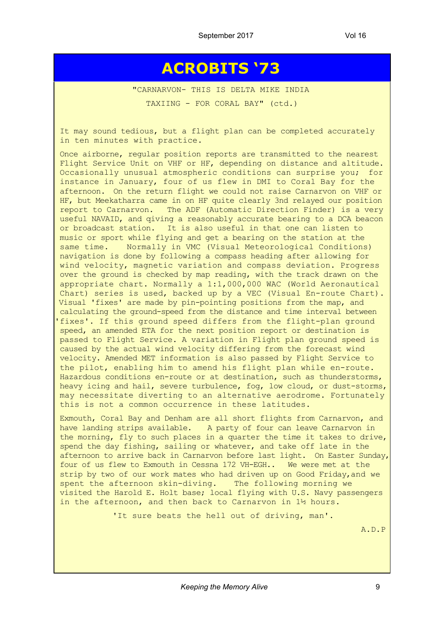## **ACROBITS '73**

"CARNARVON- THIS IS DELTA MIKE INDIA

TAXIING - FOR CORAL BAY" (ctd.)

It may sound tedious, but a flight plan can be completed accurately in ten minutes with practice.

Once airborne, regular position reports are transmitted to the nearest Flight Service Unit on VHF or HF, depending on distance and altitude. Occasionally unusual atmospheric conditions can surprise you; for instance in January, four of us flew in DMI to Coral Bay for the afternoon. On the return flight we could not raise Carnarvon on VHF or HF, but Meekatharra came in on HF quite clearly 3nd relayed our position report to Carnarvon. The ADF (Automatic Direction Finder) is a very useful NAVAID, and qiving a reasonably accurate bearing to a DCA beacon or broadcast station. It is also useful in that one can listen to music or sport while flying and get a bearing on the station at the same time. Normally in VMC (Visual Meteorological Conditions) navigation is done by following a compass heading after allowing for wind velocity, magnetic variation and compass deviation. Progress over the ground is checked by map reading, with the track drawn on the appropriate chart. Normally a 1:1,000,000 WAC (World Aeronautical Chart) series is used, backed up by a VEC (Visual En-route Chart). Visual 'fixes' are made by pin-pointing positions from the map, and calculating the ground-speed from the distance and time interval between 'fixes'. If this ground speed differs from the flight-plan ground speed, an amended ETA for the next position report or destination is passed to Flight Service. A variation in Flight plan ground speed is caused by the actual wind velocity differing from the forecast wind velocity. Amended MET information is also passed by Flight Service to the pilot, enabling him to amend his flight plan while en-route. Hazardous conditions en-route or at destination, such as thunderstorms, heavy icing and hail, severe turbulence, fog, low cloud, or dust-storms, may necessitate diverting to an alternative aerodrome. Fortunately this is not a common occurrence in these latitudes.

Exmouth, Coral Bay and Denham are all short flights from Carnarvon, and have landing strips available. A party of four can leave Carnarvon in the morning, fly to such places in a quarter the time it takes to drive, spend the day fishing, sailing or whatever, and take off late in the afternoon to arrive back in Carnarvon before last light. On Easter Sunday, four of us flew to Exmouth in Cessna 172 VH-EGH.. We were met at the strip by two of our work mates who had driven up on Good Friday,and we spent the afternoon skin-diving. The following morning we visited the Harold E. Holt base; local flying with U.S. Navy passengers in the afternoon, and then back to Carnarvon in 1½ hours.

'It sure beats the hell out of driving, man'.

A.D.P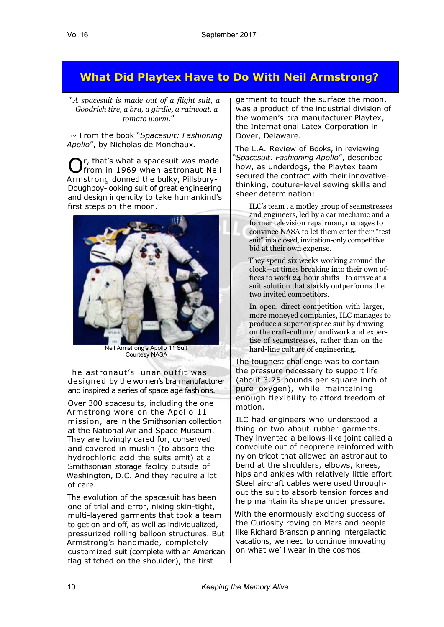### **What Did Playtex Have to Do With Neil Armstrong?**

"*A spacesuit is made out of a flight suit, a Goodrich tire, a bra, a girdle, a raincoat, a tomato worm.*"

~ From the book "*Spacesuit: Fashioning Apollo*", by Nicholas de Monchaux.

Or, that's what a spacesuit was made<br>
Ofrom in 1969 when astronaut Neil r, that's what a spacesuit was made Armstrong donned the bulky, Pillsbury-Doughboy-looking suit of great engineering and design ingenuity to take humankind's first steps on the moon.



The astronaut's lunar outfit was designed by the women's bra manufacturer and inspired a series of space age fashions.

Over 300 spacesuits, including the one Armstrong wore on the Apollo 11 mission, are in the Smithsonian collection at the National Air and Space Museum. They are lovingly cared for, conserved and covered in muslin (to absorb the hydrochloric acid the suits emit) at a Smithsonian storage facility outside of Washington, D.C. And they require a lot of care.

The evolution of the spacesuit has been one of trial and error, nixing skin-tight, multi-layered garments that took a team to get on and off, as well as individualized, pressurized rolling balloon structures. But Armstrong's handmade, completely customized suit (complete with an American flag stitched on the shoulder), the first

garment to touch the surface the moon, was a product of the industrial division of the women's bra manufacturer Playtex, the International Latex Corporation in Dover, Delaware.

The L.A. Review of Books, in reviewing "*Spacesuit: Fashioning Apollo*", described how, as underdogs, the Playtex team secured the contract with their innovativethinking, couture-level sewing skills and sheer determination:

ILC's team , a motley group of seamstresses and engineers, led by a car mechanic and a former television repairman, manages to convince NASA to let them enter their "test suit" in a closed, invitation-only competitive bid at their own expense.

They spend six weeks working around the clock—at times breaking into their own offices to work 24-hour shifts—to arrive at a suit solution that starkly outperforms the two invited competitors.

In open, direct competition with larger, more moneyed companies, ILC manages to produce a superior space suit by drawing on the craft-culture handiwork and expertise of seamstresses, rather than on the hard-line culture of engineering.

The toughest challenge was to contain the pressure necessary to support life (about 3.75 pounds per square inch of pure oxygen), while maintaining enough flexibility to afford freedom of motion.

ILC had engineers who understood a thing or two about rubber garments. They invented a bellows-like joint called a convolute out of neoprene reinforced with nylon tricot that allowed an astronaut to bend at the shoulders, elbows, knees, hips and ankles with relatively little effort. Steel aircraft cables were used throughout the suit to absorb tension forces and help maintain its shape under pressure.

With the enormously exciting success of the Curiosity roving on Mars and people like Richard Branson planning intergalactic vacations, we need to continue innovating on what we'll wear in the cosmos.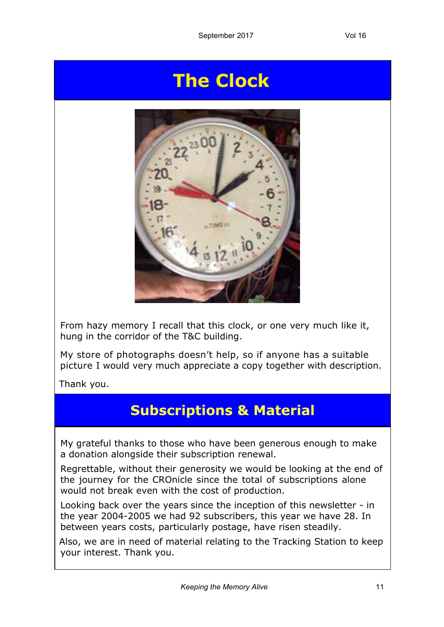# **The Clock**



From hazy memory I recall that this clock, or one very much like it, hung in the corridor of the T&C building.

My store of photographs doesn't help, so if anyone has a suitable picture I would very much appreciate a copy together with description.

Thank you.

## **Subscriptions & Material**

My grateful thanks to those who have been generous enough to make a donation alongside their subscription renewal.

Regrettable, without their generosity we would be looking at the end of the journey for the CROnicle since the total of subscriptions alone would not break even with the cost of production.

Looking back over the years since the inception of this newsletter - in the year 2004-2005 we had 92 subscribers, this year we have 28. In between years costs, particularly postage, have risen steadily.

Also, we are in need of material relating to the Tracking Station to keep your interest. Thank you.